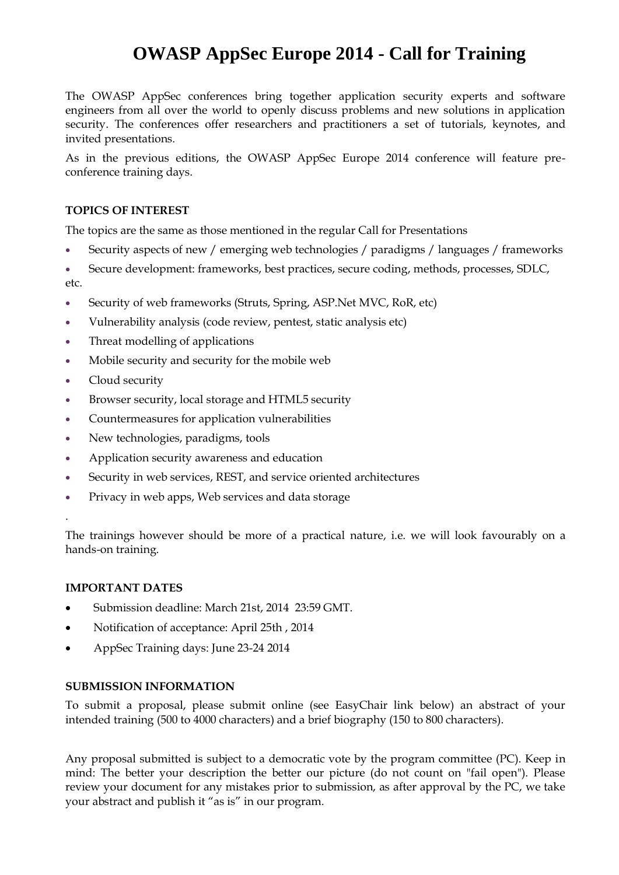# **OWASP AppSec Europe 2014 - Call for Training**

The OWASP AppSec conferences bring together application security experts and software engineers from all over the world to openly discuss problems and new solutions in application security. The conferences offer researchers and practitioners a set of tutorials, keynotes, and invited presentations.

As in the previous editions, the OWASP AppSec Europe 2014 conference will feature preconference training days.

### **TOPICS OF INTEREST**

The topics are the same as those mentioned in the regular Call for Presentations

- Security aspects of new / emerging web technologies / paradigms / languages / frameworks
- Secure development: frameworks, best practices, secure coding, methods, processes, SDLC, etc.
- Security of web frameworks (Struts, Spring, ASP.Net MVC, RoR, etc)
- Vulnerability analysis (code review, pentest, static analysis etc)
- Threat modelling of applications
- Mobile security and security for the mobile web
- Cloud security
- Browser security, local storage and HTML5 security
- Countermeasures for application vulnerabilities
- New technologies, paradigms, tools
- Application security awareness and education
- Security in web services, REST, and service oriented architectures
- Privacy in web apps, Web services and data storage

The trainings however should be more of a practical nature, i.e. we will look favourably on a hands-on training.

### **IMPORTANT DATES**

.

- Submission deadline: March 21st, 2014 23:59 GMT.
- Notification of acceptance: April 25th, 2014
- AppSec Training days: June 23-24 2014

### **SUBMISSION INFORMATION**

To submit a proposal, please submit online (see EasyChair link below) an abstract of your intended training (500 to 4000 characters) and a brief biography (150 to 800 characters).

Any proposal submitted is subject to a democratic vote by the program committee (PC). Keep in mind: The better your description the better our picture (do not count on "fail open"). Please review your document for any mistakes prior to submission, as after approval by the PC, we take your abstract and publish it "as is" in our program.